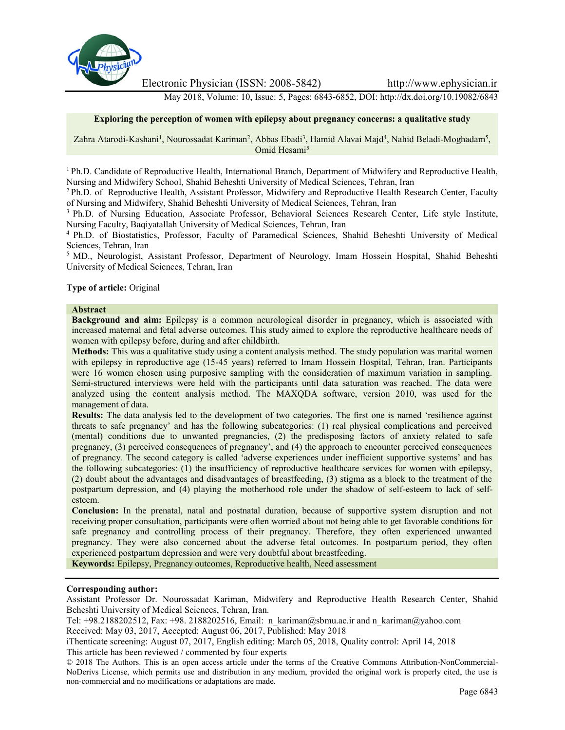

Electronic Physician (ISSN: 2008-5842) http://www.ephysician.ir

May 2018, Volume: 10, Issue: 5, Pages: 6843-6852, DOI: http://dx.doi.org/10.19082/6843

#### **Exploring the perception of women with epilepsy about pregnancy concerns: a qualitative study**

Zahra Atarodi-Kashani<sup>1</sup>, Nourossadat Kariman<sup>2</sup>, Abbas Ebadi<sup>3</sup>, Hamid Alavai Majd<sup>4</sup>, Nahid Beladi-Moghadam<sup>5</sup>, Omid Hesami<sup>5</sup>

<sup>1</sup> Ph.D. Candidate of Reproductive Health, International Branch, Department of Midwifery and Reproductive Health, Nursing and Midwifery School, Shahid Beheshti University of Medical Sciences, Tehran, Iran

<sup>2</sup> Ph.D. of Reproductive Health, Assistant Professor, Midwifery and Reproductive Health Research Center, Faculty of Nursing and Midwifery, Shahid Beheshti University of Medical Sciences, Tehran, Iran

<sup>3</sup> Ph.D. of Nursing Education, Associate Professor, Behavioral Sciences Research Center, Life style Institute, Nursing Faculty, Baqiyatallah University of Medical Sciences, Tehran, Iran

<sup>4</sup> Ph.D. of Biostatistics, Professor, Faculty of Paramedical Sciences, Shahid Beheshti University of Medical Sciences, Tehran, Iran

<sup>5</sup> MD., Neurologist, Assistant Professor, Department of Neurology, Imam Hossein Hospital, Shahid Beheshti University of Medical Sciences, Tehran, Iran

#### **Type of article:** Original

#### **Abstract**

**Background and aim:** Epilepsy is a common neurological disorder in pregnancy, which is associated with increased maternal and fetal adverse outcomes. This study aimed to explore the reproductive healthcare needs of women with epilepsy before, during and after childbirth.

**Methods:** This was a qualitative study using a content analysis method. The study population was marital women with epilepsy in reproductive age (15-45 years) referred to Imam Hossein Hospital, Tehran, Iran. Participants were 16 women chosen using purposive sampling with the consideration of maximum variation in sampling. Semi-structured interviews were held with the participants until data saturation was reached. The data were analyzed using the content analysis method. The MAXQDA software, version 2010, was used for the management of data.

**Results:** The data analysis led to the development of two categories. The first one is named 'resilience against threats to safe pregnancy' and has the following subcategories: (1) real physical complications and perceived (mental) conditions due to unwanted pregnancies, (2) the predisposing factors of anxiety related to safe pregnancy, (3) perceived consequences of pregnancy', and (4) the approach to encounter perceived consequences of pregnancy. The second category is called 'adverse experiences under inefficient supportive systems' and has the following subcategories: (1) the insufficiency of reproductive healthcare services for women with epilepsy, (2) doubt about the advantages and disadvantages of breastfeeding, (3) stigma as a block to the treatment of the postpartum depression, and (4) playing the motherhood role under the shadow of self-esteem to lack of self esteem.

**Conclusion:** In the prenatal, natal and postnatal duration, because of supportive system disruption and not receiving proper consultation, participants were often worried about not being able to get favorable conditions for safe pregnancy and controlling process of their pregnancy. Therefore, they often experienced unwanted pregnancy. They were also concerned about the adverse fetal outcomes. In postpartum period, they often experienced postpartum depression and were very doubtful about breastfeeding.

**Keywords:** Epilepsy, Pregnancy outcomes, Reproductive health, Need assessment

### **Corresponding author:**

Assistant Professor Dr. Nourossadat Kariman, Midwifery and Reproductive Health Research Center, Shahid Beheshti University of Medical Sciences, Tehran, Iran.

Tel: +98.2188202512, Fax: +98. 2188202516, Email: n\_kariman@sbmu.ac.ir and n\_kariman@yahoo.com

Received: May 03, 2017, Accepted: August 06, 2017, Published: May 2018

iThenticate screening: August 07, 2017, English editing: March 05, 2018, Quality control: April 14, 2018 This article has been reviewed / commented by four experts

<sup>© 2018</sup> The Authors. This is an open access article under the terms of the Creative Commons Attribution-NonCommercial- NoDerivs License, which permits use and distribution in any medium, provided the original work is properly cited, the use is non-commercial and no modifications or adaptations are made.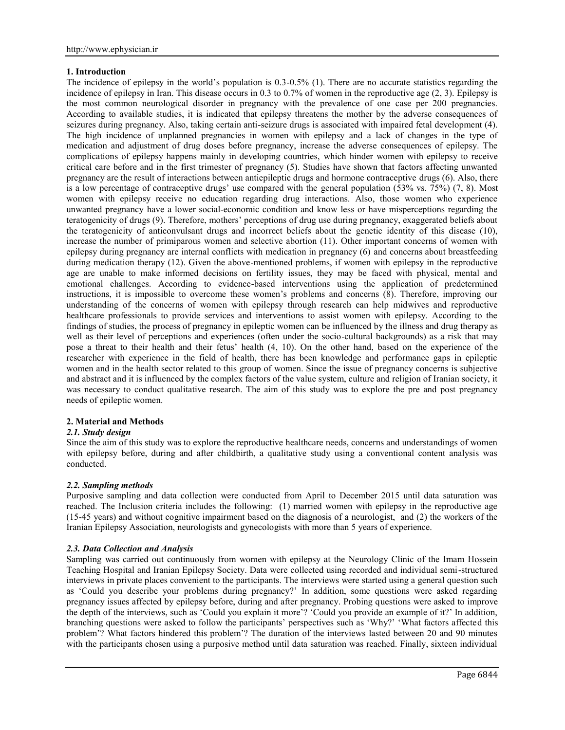## **1. Introduction**

The incidence of epilepsy in the world's population is 0.3-0.5% (1). There are no accurate statistics regarding the incidence of epilepsy in Iran. This disease occurs in 0.3 to 0.7% of women in the reproductive age (2, 3). Epilepsy is the most common neurological disorder in pregnancy with the prevalence of one case per 200 pregnancies. According to available studies, it is indicated that epilepsy threatens the mother by the adverse consequences of seizures during pregnancy. Also, taking certain anti-seizure drugs is associated with impaired fetal development (4). The high incidence of unplanned pregnancies in women with epilepsy and a lack of changes in the type of medication and adjustment of drug doses before pregnancy, increase the adverse consequences of epilepsy. The complications of epilepsy happens mainly in developing countries, which hinder women with epilepsy to receive critical care before and in the first trimester of pregnancy (5). Studies have shown that factors affecting unwanted pregnancy are the result of interactions between antiepileptic drugs and hormone contraceptive drugs (6). Also, there is a low percentage of contraceptive drugs' use compared with the general population (53% vs. 75%) (7, 8). Most women with epilepsy receive no education regarding drug interactions. Also, those women who experience unwanted pregnancy have a lower social-economic condition and know less or have misperceptions regarding the teratogenicity of drugs (9). Therefore, mothers' perceptions of drug use during pregnancy, exaggerated beliefs about the teratogenicity of anticonvulsant drugs and incorrect beliefs about the genetic identity of this disease (10), increase the number of primiparous women and selective abortion (11). Other important concerns of women with epilepsy during pregnancy are internal conflicts with medication in pregnancy (6) and concerns about breastfeeding during medication therapy (12). Given the above-mentioned problems, if women with epilepsy in the reproductive age are unable to make informed decisions on fertility issues, they may be faced with physical, mental and emotional challenges. According to evidence-based interventions using the application of predetermined instructions, it is impossible to overcome these women's problems and concerns (8). Therefore, improving our understanding of the concerns of women with epilepsy through research can help midwives and reproductive healthcare professionals to provide services and interventions to assist women with epilepsy. According to the findings of studies, the process of pregnancy in epileptic women can be influenced by the illness and drug therapy as well as their level of perceptions and experiences (often under the socio-cultural backgrounds) as a risk that may pose a threat to their health and their fetus' health (4, 10). On the other hand, based on the experience of the researcher with experience in the field of health, there has been knowledge and performance gaps in epileptic women and in the health sector related to this group of women. Since the issue of pregnancy concerns is subjective and abstract and it is influenced by the complex factors of the value system, culture and religion of Iranian society, it was necessary to conduct qualitative research. The aim of this study was to explore the pre and post pregnancy needs of epileptic women.

## **2. Material and Methods**

#### *2.1. Study design*

Since the aim of this study was to explore the reproductive healthcare needs, concerns and understandings of women with epilepsy before, during and after childbirth, a qualitative study using a conventional content analysis was conducted.

#### *2.2. Sampling methods*

Purposive sampling and data collection were conducted from April to December 2015 until data saturation was reached. The Inclusion criteria includes the following: (1) married women with epilepsy in the reproductive age (15-45 years) and without cognitive impairment based on the diagnosis of a neurologist, and (2) the workers of the Iranian Epilepsy Association, neurologists and gynecologists with more than 5 years of experience.

## *2.3. Data Collection and Analysis*

Sampling was carried out continuously from women with epilepsy at the Neurology Clinic of the Imam Hossein Teaching Hospital and Iranian Epilepsy Society. Data were collected using recorded and individual semi-structured interviews in private places convenient to the participants. The interviews were started using a general question such as 'Could you describe your problems during pregnancy?' In addition, some questions were asked regarding pregnancy issues affected by epilepsy before, during and after pregnancy. Probing questions were asked to improve the depth of the interviews, such as 'Could you explain it more'? 'Could you provide an example of it?' In addition, branching questions were asked to follow the participants' perspectives such as 'Why?' 'What factors affected this problem'? What factors hindered this problem'? The duration of the interviews lasted between 20 and 90 minutes with the participants chosen using a purposive method until data saturation was reached. Finally, sixteen individual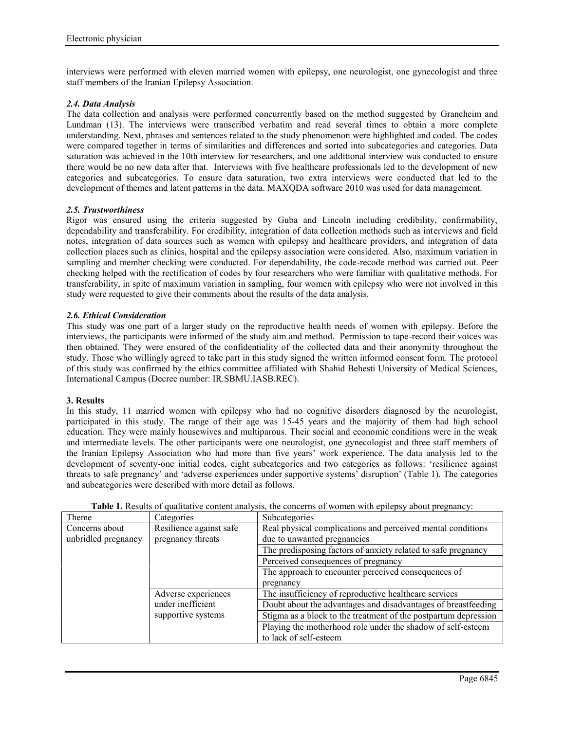interviews were performed with eleven married women with epilepsy, one neurologist, one gynecologist and three staff members of the Iranian Epilepsy Association.

## *2.4. Data Analysis*

The data collection and analysis were performed concurrently based on the method suggested by Graneheim and Lundman (13). The interviews were transcribed verbatim and read several times to obtain a more complete understanding. Next, phrases and sentences related to the study phenomenon were highlighted and coded. The codes were compared together in terms of similarities and differences and sorted into subcategories and categories. Data saturation was achieved in the 10th interview for researchers, and one additional interview was conducted to ensure there would be no new data after that. Interviews with five healthcare professionals led to the development of new categories and subcategories. To ensure data saturation, two extra interviews were conducted that led to the development of themes and latent patterns in the data. MAXQDA software 2010 was used for data management.

## *2.5. Trustworthiness*

Rigor was ensured using the criteria suggested by Guba and Lincoln including credibility, confirmability, dependability and transferability. For credibility, integration of data collection methods such as interviews and field notes, integration of data sources such as women with epilepsy and healthcare providers, and integration of data collection places such as clinics, hospital and the epilepsy association were considered. Also, maximum variation in sampling and member checking were conducted. For dependability, the code-recode method was carried out. Peer checking helped with the rectification of codes by four researchers who were familiar with qualitative methods. For transferability, in spite of maximum variation in sampling, four women with epilepsy who were not involved in this study were requested to give their comments about the results of the data analysis.

# *2.6. Ethical Consideration*

This study was one part of a larger study on the reproductive health needs of women with epilepsy. Before the interviews, the participants were informed of the study aim and method. Permission to tape-record their voices was then obtained. They were ensured of the confidentiality of the collected data and their anonymity throughout the study. Those who willingly agreed to take part in this study signed the written informed consent form. The protocol of this study was confirmed by the ethics committee affiliated with Shahid Behesti University of Medical Sciences, International Campus (Decree number: IR.SBMU.IASB.REC).

## **3. Results**

In this study, 11 married women with epilepsy who had no cognitive disorders diagnosed by the neurologist, participated in this study. The range of their age was 15-45 years and the majority of them had high school education. They were mainly housewives and multiparous. Their social and economic conditions were in the weak and intermediate levels. The other participants were one neurologist, one gynecologist and three staff members of the Iranian Epilepsy Association who had more than five years' work experience. The data analysis led to the development of seventy-one initial codes, eight subcategories and two categories as follows: 'resilience against threats to safe pregnancy' and 'adverse experiences under supportive systems' disruption' (Table 1). The categories and subcategories were described with more detail as follows.

| Theme               | Categories              | Subcategories                                                   |
|---------------------|-------------------------|-----------------------------------------------------------------|
| Concerns about      | Resilience against safe | Real physical complications and perceived mental conditions     |
| unbridled pregnancy | pregnancy threats       | due to unwanted pregnancies                                     |
|                     |                         | The predisposing factors of anxiety related to safe pregnancy   |
|                     |                         | Perceived consequences of pregnancy                             |
|                     |                         | The approach to encounter perceived consequences of             |
|                     |                         | pregnancy                                                       |
|                     | Adverse experiences     | The insufficiency of reproductive healthcare services           |
|                     | under inefficient       | Doubt about the advantages and disadvantages of breastfeeding   |
|                     | supportive systems      | Stigma as a block to the treatment of the postpartum depression |
|                     |                         | Playing the motherhood role under the shadow of self-esteem     |
|                     |                         | to lack of self-esteem                                          |

**Table 1.** Results of qualitative content analysis, the concerns of women with epilepsy about pregnancy: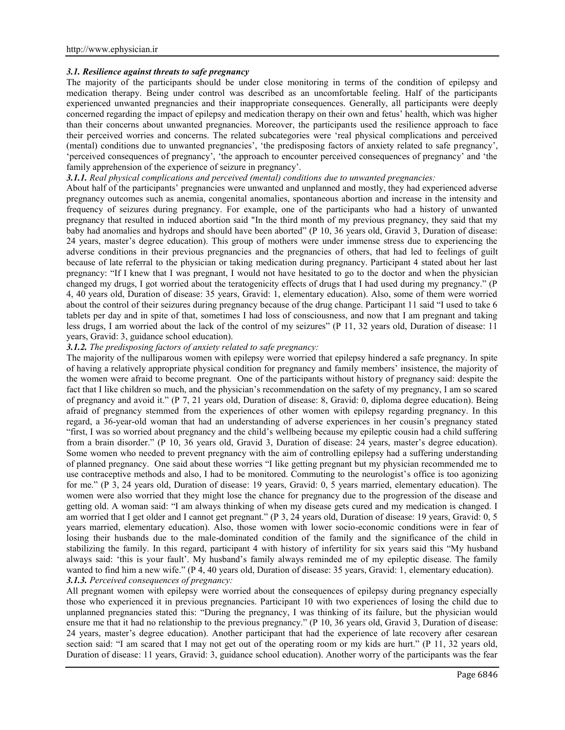## *3.1. Resilience against threats to safe pregnancy*

The majority of the participants should be under close monitoring in terms of the condition of epilepsy and medication therapy. Being under control was described as an uncomfortable feeling. Half of the participants experienced unwanted pregnancies and their inappropriate consequences. Generally, all participants were deeply concerned regarding the impact of epilepsy and medication therapy on their own and fetus' health, which was higher than their concerns about unwanted pregnancies. Moreover, the participants used the resilience approach to face their perceived worries and concerns. The related subcategories were 'real physical complications and perceived (mental) conditions due to unwanted pregnancies', 'the predisposing factors of anxiety related to safe pregnancy', 'perceived consequences of pregnancy', 'the approach to encounter perceived consequences of pregnancy' and 'the family apprehension of the experience of seizure in pregnancy'.

## *3.1.1. Real physical complications and perceived (mental) conditions due to unwanted pregnancies:*

About half of the participants' pregnancies were unwanted and unplanned and mostly, they had experienced adverse pregnancy outcomes such as anemia, congenital anomalies, spontaneous abortion and increase in the intensity and frequency of seizures during pregnancy. For example, one of the participants who had a history of unwanted pregnancy that resulted in induced abortion said "In the third month of my previous pregnancy, they said that my baby had anomalies and hydrops and should have been aborted" (P 10, 36 years old, Gravid 3, Duration of disease: 24 years, master's degree education). This group of mothers were under immense stress due to experiencing the adverse conditions in their previous pregnancies and the pregnancies of others, that had led to feelings of guilt because of late referral to the physician or taking medication during pregnancy. Participant 4 stated about her last pregnancy: "If I knew that I was pregnant, I would not have hesitated to go to the doctor and when the physician changed my drugs, I got worried about the teratogenicity effects of drugs that I had used during my pregnancy." (P 4, 40 years old, Duration of disease: 35 years, Gravid: 1, elementary education). Also, some of them were worried about the control of their seizures during pregnancy because of the drug change. Participant 11 said "I used to take 6 tablets per day and in spite of that, sometimes I had loss of consciousness, and now that I am pregnant and taking less drugs, I am worried about the lack of the control of my seizures" (P 11, 32 years old, Duration of disease: 11 years, Gravid: 3, guidance school education).

# *3.1.2. The predisposing factors of anxiety related to safe pregnancy:*

The majority of the nulliparous women with epilepsy were worried that epilepsy hindered a safe pregnancy. In spite of having a relatively appropriate physical condition for pregnancy and family members' insistence, the majority of the women were afraid to become pregnant. One of the participants without history of pregnancy said: despite the fact that I like children so much, and the physician's recommendation on the safety of my pregnancy, I am so scared of pregnancy and avoid it." (P 7, 21 years old, Duration of disease: 8, Gravid: 0, diploma degree education). Being afraid of pregnancy stemmed from the experiences of other women with epilepsy regarding pregnancy. In this regard, a 36-year-old woman that had an understanding of adverse experiences in her cousin's pregnancy stated "first, I was so worried about pregnancy and the child's wellbeing because my epileptic cousin had a child suffering from a brain disorder." (P 10, 36 years old, Gravid 3, Duration of disease: 24 years, master's degree education). Some women who needed to prevent pregnancy with the aim of controlling epilepsy had a suffering understanding of planned pregnancy. One said about these worries "I like getting pregnant but my physician recommended me to use contraceptive methods and also, I had to be monitored. Commuting to the neurologist's office is too agonizing for me." (P 3, 24 years old, Duration of disease: 19 years, Gravid: 0, 5 years married, elementary education). The women were also worried that they might lose the chance for pregnancy due to the progression of the disease and getting old. A woman said: "I am always thinking of when my disease gets cured and my medication is changed. I am worried that I get older and I cannot get pregnant." (P 3, 24 years old, Duration of disease: 19 years, Gravid: 0, 5 years married, elementary education). Also, those women with lower socio-economic conditions were in fear of losing their husbands due to the male-dominated condition of the family and the significance of the child in stabilizing the family. In this regard, participant 4 with history of infertility for six years said this "My husband always said: 'this is your fault'. My husband's family always reminded me of my epileptic disease. The family wanted to find him a new wife." (P 4, 40 years old, Duration of disease: 35 years, Gravid: 1, elementary education). *3.1.3. Perceived consequences of pregnancy:*

All pregnant women with epilepsy were worried about the consequences of epilepsy during pregnancy especially those who experienced it in previous pregnancies. Participant 10 with two experiences of losing the child due to unplanned pregnancies stated this: "During the pregnancy, I was thinking of its failure, but the physician would ensure me that it had no relationship to the previous pregnancy." (P 10, 36 years old, Gravid 3, Duration of disease: 24 years, master's degree education). Another participant that had the experience of late recovery after cesarean section said: "I am scared that I may not get out of the operating room or my kids are hurt." (P 11, 32 years old, Duration of disease: 11 years, Gravid: 3, guidance school education). Another worry of the participants was the fear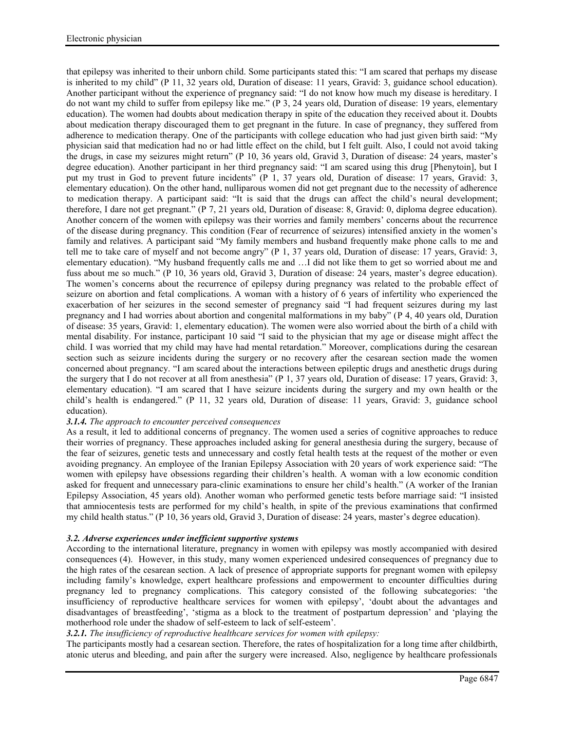that epilepsy was inherited to their unborn child. Some participants stated this: "I am scared that perhaps my disease is inherited to my child" (P 11, 32 years old, Duration of disease: 11 years, Gravid: 3, guidance school education). Another participant without the experience of pregnancy said: "I do not know how much my disease is hereditary. I do not want my child to suffer from epilepsy like me." (P 3, 24 years old, Duration of disease: 19 years, elementary education). The women had doubts about medication therapy in spite of the education they received about it. Doubts about medication therapy discouraged them to get pregnant in the future. In case of pregnancy, they suffered from adherence to medication therapy. One of the participants with college education who had just given birth said: "My physician said that medication had no or had little effect on the child, but I felt guilt. Also, I could not avoid taking the drugs, in case my seizures might return" (P 10, 36 years old, Gravid 3, Duration of disease: 24 years, master's degree education). Another participant in her third pregnancy said: "I am scared using this drug [Phenytoin], but I put my trust in God to prevent future incidents" (P 1, 37 years old, Duration of disease: 17 years, Gravid: 3, elementary education). On the other hand, nulliparous women did not get pregnant due to the necessity of adherence to medication therapy. A participant said: "It is said that the drugs can affect the child's neural development; therefore, I dare not get pregnant." (P 7, 21 years old, Duration of disease: 8, Gravid: 0, diploma degree education). Another concern of the women with epilepsy was their worries and family members' concerns about the recurrence of the disease during pregnancy. This condition (Fear of recurrence of seizures) intensified anxiety in the women's family and relatives. A participant said "My family members and husband frequently make phone calls to me and tell me to take care of myself and not become angry" (P 1, 37 years old, Duration of disease: 17 years, Gravid: 3, elementary education). "My husband frequently calls me and …I did not like them to get so worried about me and fuss about me so much." (P 10, 36 years old, Gravid 3, Duration of disease: 24 years, master's degree education). The women's concerns about the recurrence of epilepsy during pregnancy was related to the probable effect of seizure on abortion and fetal complications. A woman with a history of 6 years of infertility who experienced the exacerbation of her seizures in the second semester of pregnancy said "I had frequent seizures during my last pregnancy and I had worries about abortion and congenital malformations in my baby" (P 4, 40 years old, Duration of disease: 35 years, Gravid: 1, elementary education). The women were also worried about the birth of a child with mental disability. For instance, participant 10 said "I said to the physician that my age or disease might affect the child. I was worried that my child may have had mental retardation." Moreover, complications during the cesarean section such as seizure incidents during the surgery or no recovery after the cesarean section made the women concerned about pregnancy. "I am scared about the interactions between epileptic drugs and anesthetic drugs during the surgery that I do not recover at all from anesthesia" (P 1, 37 years old, Duration of disease: 17 years, Gravid: 3, elementary education). "I am scared that I have seizure incidents during the surgery and my own health or the child's health is endangered." (P 11, 32 years old, Duration of disease: 11 years, Gravid: 3, guidance school education).

## *3.1.4. The approach to encounter perceived consequences*

As a result, it led to additional concerns of pregnancy. The women used a series of cognitive approaches to reduce their worries of pregnancy. These approaches included asking for general anesthesia during the surgery, because of the fear of seizures, genetic tests and unnecessary and costly fetal health tests at the request of the mother or even avoiding pregnancy. An employee of the Iranian Epilepsy Association with 20 years of work experience said: "The women with epilepsy have obsessions regarding their children's health. A woman with a low economic condition asked for frequent and unnecessary para-clinic examinations to ensure her child's health." (A worker of the Iranian Epilepsy Association, 45 years old). Another woman who performed genetic tests before marriage said: "I insisted that amniocentesis tests are performed for my child's health, in spite of the previous examinations that confirmed my child health status." (P 10, 36 years old, Gravid 3, Duration of disease: 24 years, master's degree education).

#### *3.2. Adverse experiences under inefficient supportive systems*

According to the international literature, pregnancy in women with epilepsy was mostly accompanied with desired consequences (4). However, in this study, many women experienced undesired consequences of pregnancy due to the high rates of the cesarean section. A lack of presence of appropriate supports for pregnant women with epilepsy including family's knowledge, expert healthcare professions and empowerment to encounter difficulties during pregnancy led to pregnancy complications. This category consisted of the following subcategories: 'the insufficiency of reproductive healthcare services for women with epilepsy', 'doubt about the advantages and disadvantages of breastfeeding', 'stigma as a block to the treatment of postpartum depression' and 'playing the motherhood role under the shadow of self-esteem to lack of self-esteem'.

## *3.2.1. The insufficiency of reproductive healthcare services for women with epilepsy:*

The participants mostly had a cesarean section. Therefore, the rates of hospitalization for a long time after childbirth, atonic uterus and bleeding, and pain after the surgery were increased. Also, negligence by healthcare professionals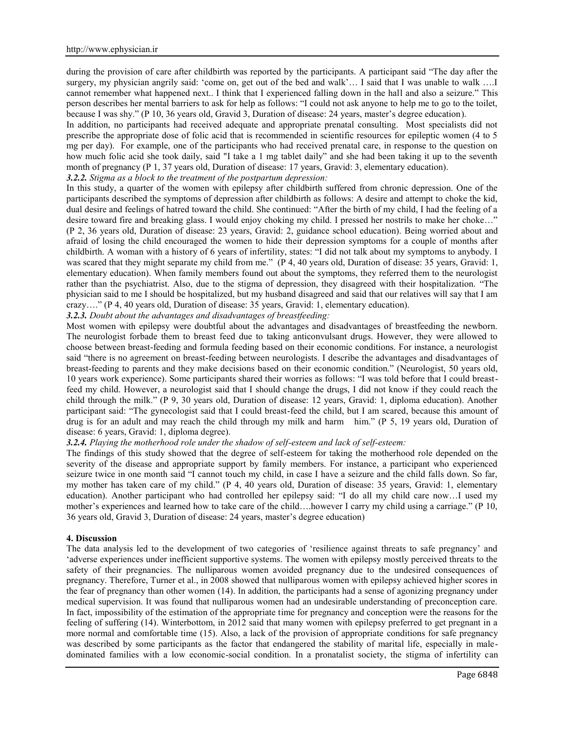during the provision of care after childbirth was reported by the participants. A participant said "The day after the surgery, my physician angrily said: 'come on, get out of the bed and walk'… I said that I was unable to walk ….I cannot remember what happened next.. I think that I experienced falling down in the hall and also a seizure." This person describes her mental barriers to ask for help as follows: "I could not ask anyone to help me to go to the toilet, because I was shy." (P 10, 36 years old, Gravid 3, Duration of disease: 24 years, master's degree education).

In addition, no participants had received adequate and appropriate prenatal consulting. Most specialists did not prescribe the appropriate dose of folic acid that is recommended in scientific resources for epileptic women (4 to 5 mg per day). For example, one of the participants who had received prenatal care, in response to the question on how much folic acid she took daily, said "I take a 1 mg tablet daily" and she had been taking it up to the seventh month of pregnancy (P 1, 37 years old, Duration of disease: 17 years, Gravid: 3, elementary education).

## *3.2.2. Stigma as a block to the treatment of the postpartum depression:*

In this study, a quarter of the women with epilepsy after childbirth suffered from chronic depression. One of the participants described the symptoms of depression after childbirth as follows: A desire and attempt to choke the kid, dual desire and feelings of hatred toward the child. She continued: "After the birth of my child, I had the feeling of a desire toward fire and breaking glass. I would enjoy choking my child. I pressed her nostrils to make her choke…" (P 2, 36 years old, Duration of disease: 23 years, Gravid: 2, guidance school education). Being worried about and afraid of losing the child encouraged the women to hide their depression symptoms for a couple of months after childbirth. A woman with a history of 6 years of infertility, states: "I did not talk about my symptoms to anybody. I was scared that they might separate my child from me." (P 4, 40 years old, Duration of disease: 35 years, Gravid: 1, elementary education). When family members found out about the symptoms, they referred them to the neurologist rather than the psychiatrist. Also, due to the stigma of depression, they disagreed with their hospitalization. "The physician said to me I should be hospitalized, but my husband disagreed and said that our relatives will say that I am crazy…." (P 4, 40 years old, Duration of disease: 35 years, Gravid: 1, elementary education).

*3.2.3. Doubt about the advantages and disadvantages of breastfeeding:*

Most women with epilepsy were doubtful about the advantages and disadvantages of breastfeeding the newborn. The neurologist forbade them to breast feed due to taking anticonvulsant drugs. However, they were allowed to choose between breast-feeding and formula feeding based on their economic conditions. For instance, a neurologist said "there is no agreement on breast-feeding between neurologists. I describe the advantages and disadvantages of breast-feeding to parents and they make decisions based on their economic condition." (Neurologist, 50 years old, 10 years work experience). Some participants shared their worries as follows: "I was told before that I could breastfeed my child. However, a neurologist said that I should change the drugs, I did not know if they could reach the child through the milk." (P 9, 30 years old, Duration of disease: 12 years, Gravid: 1, diploma education). Another participant said: "The gynecologist said that I could breast-feed the child, but I am scared, because this amount of drug is for an adult and may reach the child through my milk and harm him." (P 5, 19 years old, Duration of disease: 6 years, Gravid: 1, diploma degree).

# *3.2.4. Playing the motherhood role under the shadow of self-esteem and lack of self-esteem:*

The findings of this study showed that the degree of self-esteem for taking the motherhood role depended on the severity of the disease and appropriate support by family members. For instance, a participant who experienced seizure twice in one month said "I cannot touch my child, in case I have a seizure and the child falls down. So far, my mother has taken care of my child." (P 4, 40 years old, Duration of disease: 35 years, Gravid: 1, elementary education). Another participant who had controlled her epilepsy said: "I do all my child care now…I used my mother's experiences and learned how to take care of the child….however I carry my child using a carriage." (P 10, 36 years old, Gravid 3, Duration of disease: 24 years, master's degree education)

#### **4. Discussion**

The data analysis led to the development of two categories of 'resilience against threats to safe pregnancy' and 'adverse experiences under inefficient supportive systems. The women with epilepsy mostly perceived threats to the safety of their pregnancies. The nulliparous women avoided pregnancy due to the undesired consequences of pregnancy. Therefore, Turner et al., in 2008 showed that nulliparous women with epilepsy achieved higher scores in the fear of pregnancy than other women (14). In addition, the participants had a sense of agonizing pregnancy under medical supervision. It was found that nulliparous women had an undesirable understanding of preconception care. In fact, impossibility of the estimation of the appropriate time for pregnancy and conception were the reasons for the feeling of suffering (14). Winterbottom, in 2012 said that many women with epilepsy preferred to get pregnant in a more normal and comfortable time (15). Also, a lack of the provision of appropriate conditions for safe pregnancy was described by some participants as the factor that endangered the stability of marital life, especially in male dominated families with a low economic-social condition. In a pronatalist society, the stigma of infertility can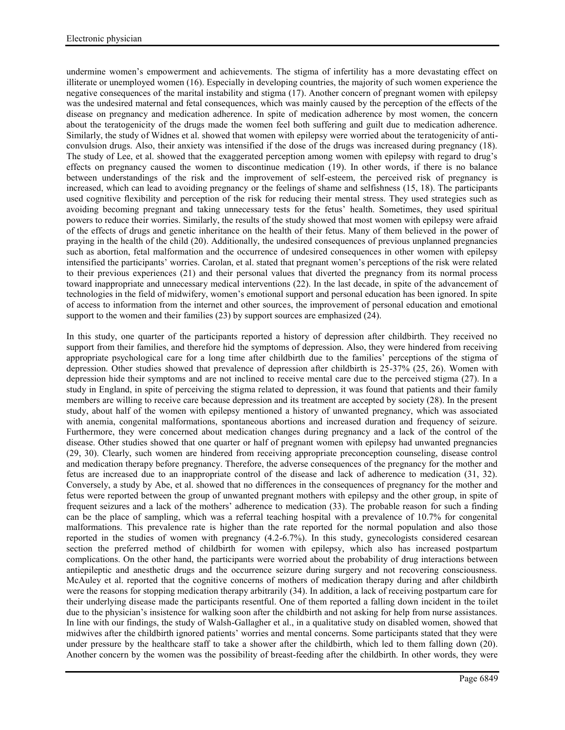undermine women's empowerment and achievements. The stigma of infertility has a more devastating effect on illiterate or unemployed women (16). Especially in developing countries, the majority of such women experience the negative consequences of the marital instability and stigma (17). Another concern of pregnant women with epilepsy was the undesired maternal and fetal consequences, which was mainly caused by the perception of the effects of the disease on pregnancy and medication adherence. In spite of medication adherence by most women, the concern about the teratogenicity of the drugs made the women feel both suffering and guilt due to medication adherence. Similarly, the study of Widnes et al. showed that women with epilepsy were worried about the teratogenicity of anti convulsion drugs. Also, their anxiety was intensified if the dose of the drugs was increased during pregnancy (18). The study of Lee, et al. showed that the exaggerated perception among women with epilepsy with regard to drug's effects on pregnancy caused the women to discontinue medication (19). In other words, if there is no balance between understandings of the risk and the improvement of self-esteem, the perceived risk of pregnancy is increased, which can lead to avoiding pregnancy or the feelings of shame and selfishness (15, 18). The participants used cognitive flexibility and perception of the risk for reducing their mental stress. They used strategies such as avoiding becoming pregnant and taking unnecessary tests for the fetus' health. Sometimes, they used spiritual powers to reduce their worries. Similarly, the results of the study showed that most women with epilepsy were afraid of the effects of drugs and genetic inheritance on the health of their fetus. Many of them believed in the power of praying in the health of the child (20). Additionally, the undesired consequences of previous unplanned pregnancies such as abortion, fetal malformation and the occurrence of undesired consequences in other women with epilepsy intensified the participants' worries. Carolan, et al. stated that pregnant women's perceptions of the risk were related to their previous experiences (21) and their personal values that diverted the pregnancy from its normal process toward inappropriate and unnecessary medical interventions (22). In the last decade, in spite of the advancement of technologies in the field of midwifery, women's emotional support and personal education has been ignored. In spite of access to information from the internet and other sources, the improvement of personal education and emotional support to the women and their families (23) by support sources are emphasized (24).

In this study, one quarter of the participants reported a history of depression after childbirth. They received no support from their families, and therefore hid the symptoms of depression. Also, they were hindered from receiving appropriate psychological care for a long time after childbirth due to the families' perceptions of the stigma of depression. Other studies showed that prevalence of depression after childbirth is 25-37% (25, 26). Women with depression hide their symptoms and are not inclined to receive mental care due to the perceived stigma (27). In a study in England, in spite of perceiving the stigma related to depression, it was found that patients and their family members are willing to receive care because depression and its treatment are accepted by society (28). In the present study, about half of the women with epilepsy mentioned a history of unwanted pregnancy, which was associated with anemia, congenital malformations, spontaneous abortions and increased duration and frequency of seizure. Furthermore, they were concerned about medication changes during pregnancy and a lack of the control of the disease. Other studies showed that one quarter or half of pregnant women with epilepsy had unwanted pregnancies (29, 30). Clearly, such women are hindered from receiving appropriate preconception counseling, disease control and medication therapy before pregnancy. Therefore, the adverse consequences of the pregnancy for the mother and fetus are increased due to an inappropriate control of the disease and lack of adherence to medication (31, 32). Conversely, a study by Abe, et al. showed that no differences in the consequences of pregnancy for the mother and fetus were reported between the group of unwanted pregnant mothers with epilepsy and the other group, in spite of frequent seizures and a lack of the mothers' adherence to medication (33). The probable reason for such a finding can be the place of sampling, which was a referral teaching hospital with a prevalence of 10.7% for congenital malformations. This prevalence rate is higher than the rate reported for the normal population and also those reported in the studies of women with pregnancy (4.2-6.7%). In this study, gynecologists considered cesarean section the preferred method of childbirth for women with epilepsy, which also has increased postpartum complications. On the other hand, the participants were worried about the probability of drug interactions between antiepileptic and anesthetic drugs and the occurrence seizure during surgery and not recovering consciousness. McAuley et al. reported that the cognitive concerns of mothers of medication therapy during and after childbirth were the reasons for stopping medication therapy arbitrarily (34). In addition, a lack of receiving postpartum care for their underlying disease made the participants resentful. One of them reported a falling down incident in the toilet due to the physician's insistence for walking soon after the childbirth and not asking for help from nurse assistances. In line with our findings, the study of Walsh-Gallagher et al., in a qualitative study on disabled women, showed that midwives after the childbirth ignored patients' worries and mental concerns. Some participants stated that they were under pressure by the healthcare staff to take a shower after the childbirth, which led to them falling down (20). Another concern by the women was the possibility of breast-feeding after the childbirth. In other words, they were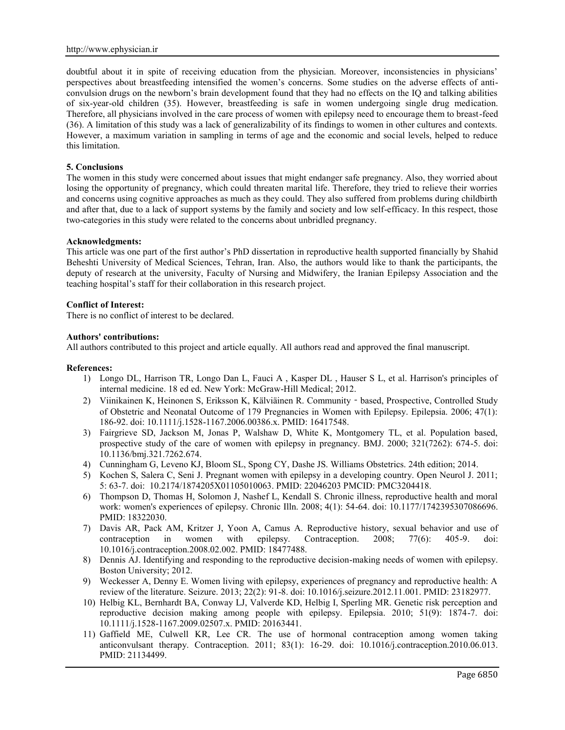doubtful about it in spite of receiving education from the physician. Moreover, inconsistencies in physicians' perspectives about breastfeeding intensified the women's concerns. Some studies on the adverse effects of anti convulsion drugs on the newborn's brain development found that they had no effects on the IQ and talking abilities of six-year-old children (35). However, breastfeeding is safe in women undergoing single drug medication. Therefore, all physicians involved in the care process of women with epilepsy need to encourage them to breast-feed (36). A limitation of this study was a lack of generalizability of its findings to women in other cultures and contexts. However, a maximum variation in sampling in terms of age and the economic and social levels, helped to reduce this limitation.

#### **5. Conclusions**

The women in this study were concerned about issues that might endanger safe pregnancy. Also, they worried about losing the opportunity of pregnancy, which could threaten marital life. Therefore, they tried to relieve their worries and concerns using cognitive approaches as much as they could. They also suffered from problems during childbirth and after that, due to a lack of support systems by the family and society and low self-efficacy. In this respect, those two-categories in this study were related to the concerns about unbridled pregnancy.

#### **Acknowledgments:**

This article was one part of the first author's PhD dissertation in reproductive health supported financially by Shahid Beheshti University of Medical Sciences, Tehran, Iran. Also, the authors would like to thank the participants, the deputy of research at the university, Faculty of Nursing and Midwifery, the Iranian Epilepsy Association and the teaching hospital's staff for their collaboration in this research project.

## **Conflict of Interest:**

There is no conflict of interest to be declared.

#### **Authors' contributions:**

All authors contributed to this project and article equally. All authors read and approved the final manuscript.

#### **References:**

- 1) Longo DL, Harrison TR, Longo Dan L, Fauci A , Kasper DL , Hauser S L, et al. Harrison's principles of internal medicine. 18 ed ed. New York: McGraw-Hill Medical; 2012.
- 2) Viinikainen K, Heinonen S, Eriksson K, Kälviäinen R. Community based, Prospective, Controlled Study of Obstetric and Neonatal Outcome of 179 Pregnancies in Women with Epilepsy. Epilepsia. 2006; 47(1): 186-92. doi: 10.1111/j.1528-1167.2006.00386.x. PMID: 16417548.
- 3) Fairgrieve SD, Jackson M, Jonas P, Walshaw D, White K, Montgomery TL, et al. Population based, prospective study of the care of women with epilepsy in pregnancy. BMJ. 2000; 321(7262): 674-5. doi: 10.1136/bmj.321.7262.674.
- 4) Cunningham G, Leveno KJ, Bloom SL, Spong CY, Dashe JS. Williams Obstetrics. 24th edition; 2014.
- 5) Kochen S, Salera C, Seni J. Pregnant women with epilepsy in a developing country. Open Neurol J. 2011; 5: 63-7. doi: 10.2174/1874205X01105010063. PMID: 22046203 PMCID: PMC3204418.
- 6) Thompson D, Thomas H, Solomon J, Nashef L, Kendall S. Chronic illness, reproductive health and moral work: women's experiences of epilepsy. Chronic Illn. 2008; 4(1): 54-64. doi: 10.1177/1742395307086696. PMID: 18322030.
- 7) Davis AR, Pack AM, Kritzer J, Yoon A, Camus A. Reproductive history, sexual behavior and use of contraception in women with epilepsy. Contraception. 2008; 77(6): 405-9. doi: 10.1016/j.contraception.2008.02.002. PMID: 18477488.
- 8) Dennis AJ. Identifying and responding to the reproductive decision-making needs of women with epilepsy. Boston University; 2012.
- 9) Weckesser A, Denny E. Women living with epilepsy, experiences of pregnancy and reproductive health: A review of the literature. Seizure. 2013; 22(2): 91-8. doi: 10.1016/j.seizure.2012.11.001. PMID: 23182977.
- 10) Helbig KL, Bernhardt BA, Conway LJ, Valverde KD, Helbig I, Sperling MR. Genetic risk perception and reproductive decision making among people with epilepsy. Epilepsia. 2010; 51(9): 1874-7. doi: 10.1111/j.1528-1167.2009.02507.x. PMID: 20163441.
- 11) Gaffield ME, Culwell KR, Lee CR. The use of hormonal contraception among women taking anticonvulsant therapy. Contraception. 2011; 83(1): 16-29. doi: 10.1016/j.contraception.2010.06.013. PMID: 21134499.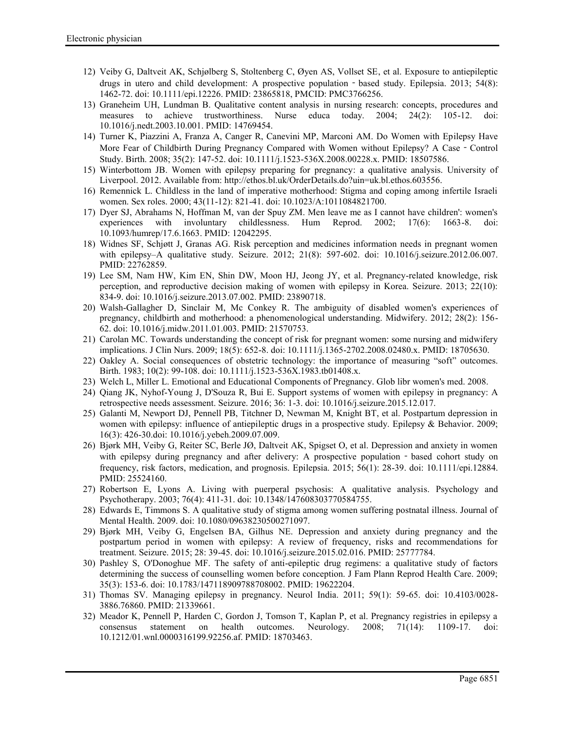- 12) Veiby G, Daltveit AK, Schjølberg S, Stoltenberg C, Øyen AS, Vollset SE, et al. Exposure to antiepileptic drugs in utero and child development: A prospective population - based study. Epilepsia. 2013; 54(8): 1462-72. doi: 10.1111/epi.12226. PMID: 23865818, PMCID: PMC3766256.
- 13) Graneheim UH, Lundman B. Qualitative content analysis in nursing research: concepts, procedures and measures to achieve trustworthiness. Nurse educa today. 2004; 24(2): 105-12. doi: 10.1016/j.nedt.2003.10.001. PMID: 14769454.
- 14) Turner K, Piazzini A, Franza A, Canger R, Canevini MP, Marconi AM. Do Women with Epilepsy Have More Fear of Childbirth During Pregnancy Compared with Women without Epilepsy? A Case - Control Study. Birth. 2008; 35(2): 147-52. doi: 10.1111/j.1523-536X.2008.00228.x. PMID: 18507586.
- 15) Winterbottom JB. Women with epilepsy preparing for pregnancy: a qualitative analysis. University of Liverpool. 2012. Available from: http://ethos.bl.uk/OrderDetails.do?uin=uk.bl.ethos.603556.
- 16) Remennick L. Childless in the land of imperative motherhood: Stigma and coping among infertile Israeli women. Sex roles. 2000; 43(11-12): 821-41. doi: 10.1023/A:1011084821700.
- 17) Dyer SJ, Abrahams N, Hoffman M, van der Spuy ZM. Men leave me as I cannot have children': women's experiences with involuntary childlessness. Hum Reprod. 2002; 17(6): 1663-8. doi: 10.1093/humrep/17.6.1663. PMID: 12042295.
- 18) Widnes SF, Schjøtt J, Granas AG. Risk perception and medicines information needs in pregnant women with epilepsy–A qualitative study. Seizure. 2012; 21(8): 597-602. doi: 10.1016/j.seizure.2012.06.007. PMID: 22762859.
- 19) Lee SM, Nam HW, Kim EN, Shin DW, Moon HJ, Jeong JY, et al. Pregnancy-related knowledge, risk perception, and reproductive decision making of women with epilepsy in Korea. Seizure. 2013; 22(10): 834-9. doi: 10.1016/j.seizure.2013.07.002. PMID: 23890718.
- 20) Walsh-Gallagher D, Sinclair M, Mc Conkey R. The ambiguity of disabled women's experiences of pregnancy, childbirth and motherhood: a phenomenological understanding. Midwifery. 2012; 28(2): 156- 62. doi: 10.1016/j.midw.2011.01.003. PMID: 21570753.
- 21) Carolan MC. Towards understanding the concept of risk for pregnant women: some nursing and midwifery implications. J Clin Nurs. 2009; 18(5): 652-8. doi: 10.1111/j.1365-2702.2008.02480.x. PMID: 18705630.
- 22) Oakley A. Social consequences of obstetric technology: the importance of measuring "soft" outcomes. Birth. 1983; 10(2): 99-108. doi: 10.1111/j.1523-536X.1983.tb01408.x.
- 23) Welch L, Miller L. Emotional and Educational Components of Pregnancy. Glob libr women's med. 2008.
- 24) Qiang JK, Nyhof-Young J, D'Souza R, Bui E. Support systems of women with epilepsy in pregnancy: A retrospective needs assessment. Seizure. 2016; 36: 1-3. doi: 10.1016/j.seizure.2015.12.017.
- 25) Galanti M, Newport DJ, Pennell PB, Titchner D, Newman M, Knight BT, et al. Postpartum depression in women with epilepsy: influence of antiepileptic drugs in a prospective study. Epilepsy & Behavior. 2009; 16(3): 426-30.doi: 10.1016/j.yebeh.2009.07.009.
- 26) Bjørk MH, Veiby G, Reiter SC, Berle JØ, Daltveit AK, Spigset O, et al. Depression and anxiety in women with epilepsy during pregnancy and after delivery: A prospective population - based cohort study on frequency, risk factors, medication, and prognosis. Epilepsia. 2015; 56(1): 28-39. doi: 10.1111/epi.12884. PMID: 25524160.
- 27) Robertson E, Lyons A. Living with puerperal psychosis: A qualitative analysis. Psychology and Psychotherapy. 2003; 76(4): 411-31. doi: 10.1348/147608303770584755.
- 28) Edwards E, Timmons S. A qualitative study of stigma among women suffering postnatal illness. Journal of Mental Health. 2009. doi: 10.1080/09638230500271097.
- 29) Bjørk MH, Veiby G, Engelsen BA, Gilhus NE. Depression and anxiety during pregnancy and the postpartum period in women with epilepsy: A review of frequency, risks and recommendations for treatment. Seizure. 2015; 28: 39-45. doi: 10.1016/j.seizure.2015.02.016. PMID: 25777784.
- 30) Pashley S, O'Donoghue MF. The safety of anti-epileptic drug regimens: a qualitative study of factors determining the success of counselling women before conception. J Fam Plann Reprod Health Care. 2009; 35(3): 153-6. doi: 10.1783/147118909788708002. PMID: 19622204.
- 31) Thomas SV. Managing epilepsy in pregnancy. Neurol India. 2011; 59(1): 59-65. doi: 10.4103/0028- 3886.76860. PMID: 21339661.
- 32) Meador K, Pennell P, Harden C, Gordon J, Tomson T, Kaplan P, et al. Pregnancy registries in epilepsy a consensus statement on health outcomes. Neurology. 2008; 71(14): 1109-17. doi: 10.1212/01.wnl.0000316199.92256.af. PMID: 18703463.